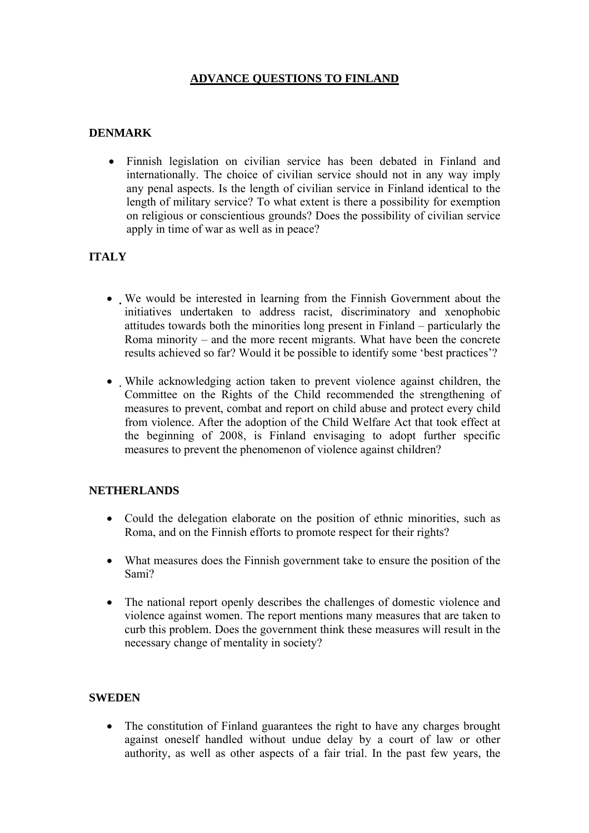# **ADVANCE QUESTIONS TO FINLAND**

### **DENMARK**

• Finnish legislation on civilian service has been debated in Finland and internationally. The choice of civilian service should not in any way imply any penal aspects. Is the length of civilian service in Finland identical to the length of military service? To what extent is there a possibility for exemption on religious or conscientious grounds? Does the possibility of civilian service apply in time of war as well as in peace?

## **ITALY**

- We would be interested in learning from the Finnish Government about the initiatives undertaken to address racist, discriminatory and xenophobic attitudes towards both the minorities long present in Finland – particularly the Roma minority – and the more recent migrants. What have been the concrete results achieved so far? Would it be possible to identify some 'best practices'?
- While acknowledging action taken to prevent violence against children, the Committee on the Rights of the Child recommended the strengthening of measures to prevent, combat and report on child abuse and protect every child from violence. After the adoption of the Child Welfare Act that took effect at the beginning of 2008, is Finland envisaging to adopt further specific measures to prevent the phenomenon of violence against children?

#### **NETHERLANDS**

- Could the delegation elaborate on the position of ethnic minorities, such as Roma, and on the Finnish efforts to promote respect for their rights?
- What measures does the Finnish government take to ensure the position of the Sami?
- The national report openly describes the challenges of domestic violence and violence against women. The report mentions many measures that are taken to curb this problem. Does the government think these measures will result in the necessary change of mentality in society?

#### **SWEDEN**

• The constitution of Finland guarantees the right to have any charges brought against oneself handled without undue delay by a court of law or other authority, as well as other aspects of a fair trial. In the past few years, the